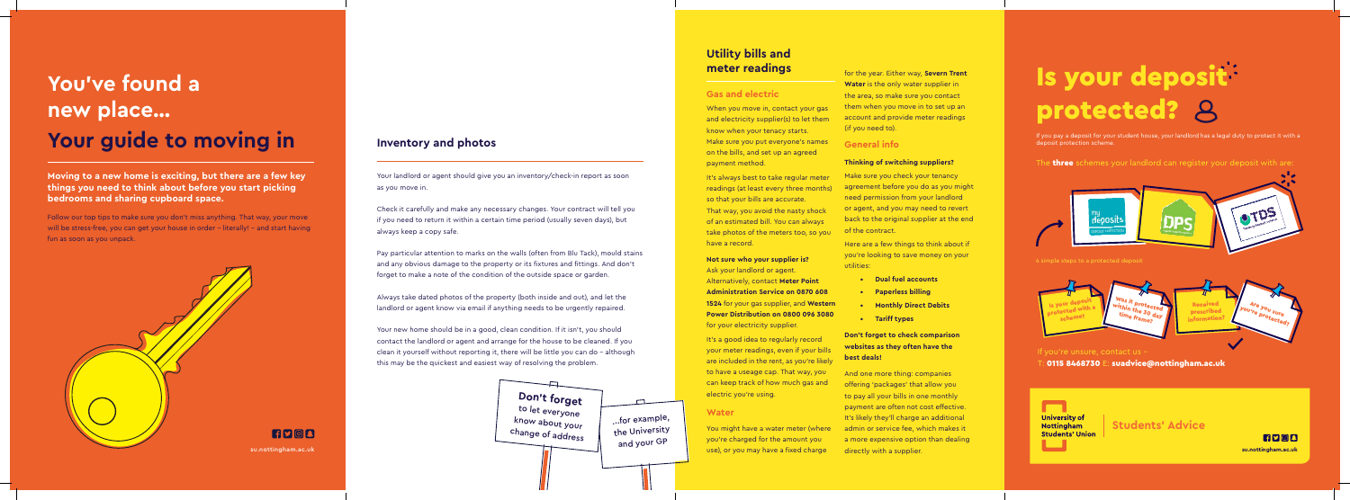If you pay a deposit for your student house, your landlord has a legal duty to protect it with a deposit protection scheme.

The **three** schemes your landlord can register your deposit with are:



4 simple steps to a protected deposit

#### If you're unsure, contact us –

 $\pm$  0115 8468730  $E$ : suadvice@nottingham.ac.uk





...for example, the University and your GP

# **You've found a new place… Your guide to moving in**

**Moving to a new home is exciting, but there are a few key things you need to think about before you start picking bedrooms and sharing cupboard space.** 

Follow our top tips to make sure you don't miss anything. That way, your move will be stress-free, you can get your house in order – literally! – and start having fun as soon as you unpack.



### **Inventory and photos**

Your landlord or agent should give you an inventory/check-in report as soon as you move in.

Check it carefully and make any necessary changes. Your contract will tell you if you need to return it within a certain time period (usually seven days), but always keep a copy safe.

It's always best to take regular meter readings (at least every three months) so that your bills are accurate. That way, you avoid the nasty shock of an estimated bill. You can always take photos of the meters too, so you have a record.

Pay particular attention to marks on the walls (often from Blu Tack), mould stains and any obvious damage to the property or its fixtures and fittings. And don't forget to make a note of the condition of the outside space or garden.

> It's a good idea to regularly record your meter readings, even if your bills are included in the rent, as you're likely to have a useage cap. That way, you can keep track of how much gas and electric you're using.

You might have a water meter (where you're charged for the amount you su.nottingham.ac.uk a subset of the subset of the subset of the supplier. The supplier of the supplier, and the supplier,  $\sim$ 

Always take dated photos of the property (both inside and out), and let the landlord or agent know via email if anything needs to be urgently repaired.

Your new home should be in a good, clean condition. If it isn't, you should contact the landlord or agent and arrange for the house to be cleaned. If you clean it yourself without reporting it, there will be little you can do – although this may be the quickest and easiest way of resolving the problem.

# **Utility bills and meter readings**

#### **Gas and electric**

When you move in, contact your gas and electricity supplier(s) to let them know when your tenacy starts. Make sure you put everyone's names on the bills, and set up an agreed payment method.

**Not sure who your supplier is?**

Ask your landlord or agent. Alternatively, contact **Meter Point Administration Service on 0870 608** 

**1524** for your gas supplier, and **Western Power Distribution on 0800 096 3080**  for your electricity supplier.

#### **Water**

for the year. Either way, **Severn Trent Water** is the only water supplier in the area, so make sure you contact them when you move in to set up an account and provide meter readings (if you need to).

#### **General info**

#### **Thinking of switching suppliers?**

Make sure you check your tenancy agreement before you do as you might need permission from your landlord or agent, and you may need to revert back to the original supplier at the end of the contract.

Here are a few things to think about if you're looking to save money on your utilities:

- **Dual fuel accounts**
- **Paperless billing**
- **Monthly Direct Debits**
- **Tariff types**

#### **Don't forget to check comparison websites as they often have the best deals!**

And one more thing: companies offering 'packages' that allow you to pay all your bills in one monthly payment are often not cost effective. It's likely they'll charge an additional admin or service fee, which makes it a more expensive option than dealing

# Is your deposit protected? 8

**Don't forget** to let everyone know about your change of address